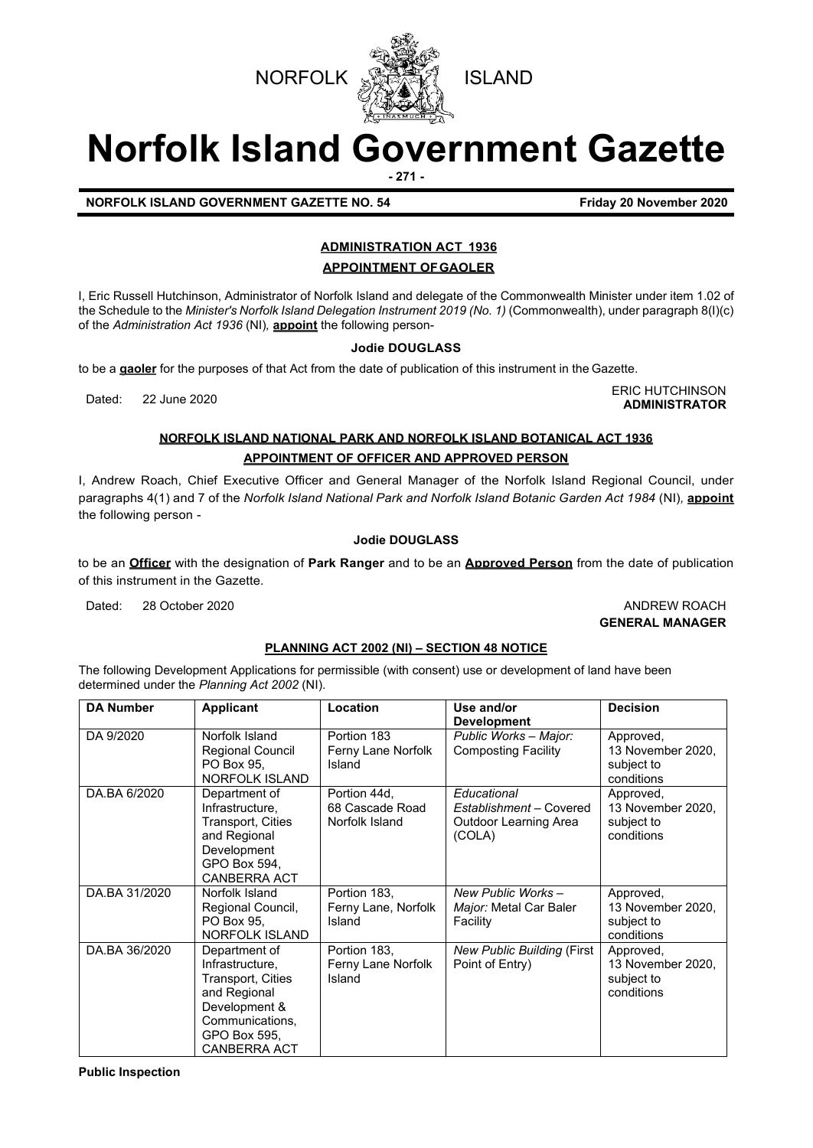

# **Norfolk Island Government Gazette**

**- 271 -**

#### **NORFOLK ISLAND GOVERNMENT GAZETTE NO. 54 Friday 20 November 2020**

### **ADMINISTRATION ACT 1936**

**APPOINTMENT OFGAOLER**

I, Eric Russell Hutchinson, Administrator of Norfolk Island and delegate of the Commonwealth Minister under item 1.02 of the Schedule to the *Minister's Norfolk Island Delegation Instrument 2019 (No. 1)* (Commonwealth), under paragraph 8(I)(c) of the *Administration Act 1936* (NI)*,* **appoint** the following person-

#### **Jodie DOUGLASS**

to be a **gaoler** for the purposes of that Act from the date of publication of this instrument in the Gazette.

Dated: 22 June 2020<br>Dated: 22 June 2020 **ADMINISTRATOR**

### **NORFOLK ISLAND NATIONAL PARK AND NORFOLK ISLAND BOTANICAL ACT 1936 APPOINTMENT OF OFFICER AND APPROVED PERSON**

I, Andrew Roach, Chief Executive Officer and General Manager of the Norfolk Island Regional Council, under paragraphs 4(1) and 7 of the *Norfolk Island National Park and Norfolk Island Botanic Garden Act 1984* (NI)*,* **appoint** the following person -

#### **Jodie DOUGLASS**

to be an **Officer** with the designation of **Park Ranger** and to be an **Approved Person** from the date of publication of this instrument in the Gazette.

Dated: 28 October 2020 **ANDREW ROACH** 

## **GENERAL MANAGER**

#### **PLANNING ACT 2002 (NI) – SECTION 48 NOTICE**

The following Development Applications for permissible (with consent) use or development of land have been determined under the *Planning Act 2002* (NI).

| <b>DA Number</b> | <b>Applicant</b>                                                                                                                                 | Location                                          | Use and/or<br><b>Development</b>                                          | <b>Decision</b>                                            |
|------------------|--------------------------------------------------------------------------------------------------------------------------------------------------|---------------------------------------------------|---------------------------------------------------------------------------|------------------------------------------------------------|
| DA 9/2020        | Norfolk Island<br>Regional Council<br>PO Box 95,<br>NORFOLK ISLAND                                                                               | Portion 183<br>Ferny Lane Norfolk<br>Island       | Public Works - Major:<br><b>Composting Facility</b>                       | Approved,<br>13 November 2020,<br>subject to<br>conditions |
| DA.BA 6/2020     | Department of<br>Infrastructure,<br>Transport, Cities<br>and Regional<br>Development<br>GPO Box 594,<br><b>CANBERRA ACT</b>                      | Portion 44d,<br>68 Cascade Road<br>Norfolk Island | Educational<br>Establishment - Covered<br>Outdoor Learning Area<br>(COLA) | Approved,<br>13 November 2020,<br>subject to<br>conditions |
| DA.BA 31/2020    | Norfolk Island<br>Regional Council,<br>PO Box 95.<br>NORFOLK ISLAND                                                                              | Portion 183,<br>Ferny Lane, Norfolk<br>Island     | New Public Works-<br>Major: Metal Car Baler<br>Facility                   | Approved,<br>13 November 2020,<br>subject to<br>conditions |
| DA.BA 36/2020    | Department of<br>Infrastructure,<br>Transport, Cities<br>and Regional<br>Development &<br>Communications,<br>GPO Box 595,<br><b>CANBERRA ACT</b> | Portion 183,<br>Ferny Lane Norfolk<br>Island      | New Public Building (First<br>Point of Entry)                             | Approved,<br>13 November 2020,<br>subject to<br>conditions |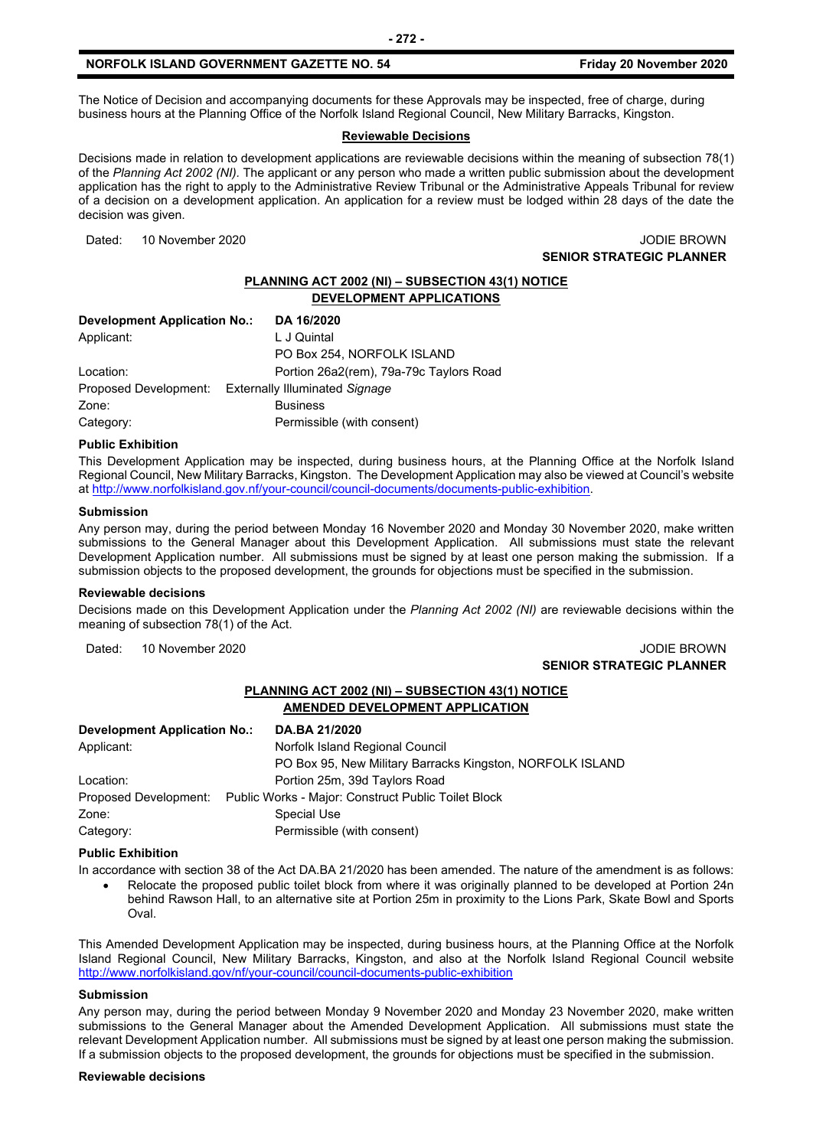The Notice of Decision and accompanying documents for these Approvals may be inspected, free of charge, during business hours at the Planning Office of the Norfolk Island Regional Council, New Military Barracks, Kingston.

#### **Reviewable Decisions**

Decisions made in relation to development applications are reviewable decisions within the meaning of subsection 78(1) of the *Planning Act 2002 (NI).* The applicant or any person who made a written public submission about the development application has the right to apply to the Administrative Review Tribunal or the Administrative Appeals Tribunal for review of a decision on a development application. An application for a review must be lodged within 28 days of the date the decision was given.

Dated: 10 November 2020 **Dates 10 November 2020** 

**SENIOR STRATEGIC PLANNER** 

#### **PLANNING ACT 2002 (NI) – SUBSECTION 43(1) NOTICE DEVELOPMENT APPLICATIONS**

| Development Application No.: | DA 16/2020                              |
|------------------------------|-----------------------------------------|
| Applicant:                   | L J Quintal                             |
|                              | PO Box 254, NORFOLK ISLAND              |
| Location:                    | Portion 26a2(rem), 79a-79c Taylors Road |
| Proposed Development:        | <b>Externally Illuminated Signage</b>   |
| Zone:                        | <b>Business</b>                         |
| Category:                    | Permissible (with consent)              |

#### **Public Exhibition**

This Development Application may be inspected, during business hours, at the Planning Office at the Norfolk Island Regional Council, New Military Barracks, Kingston. The Development Application may also be viewed at Council's website a[t http://www.norfolkisland.gov.nf/your-council/council-documents/documents-public-exhibition.](http://www.norfolkisland.gov.nf/your-council/council-documents/documents-public-exhibition)

#### **Submission**

Any person may, during the period between Monday 16 November 2020 and Monday 30 November 2020, make written submissions to the General Manager about this Development Application. All submissions must state the relevant Development Application number. All submissions must be signed by at least one person making the submission. If a submission objects to the proposed development, the grounds for objections must be specified in the submission.

#### **Reviewable decisions**

Decisions made on this Development Application under the *Planning Act 2002 (NI)* are reviewable decisions within the meaning of subsection 78(1) of the Act.

Dated: 10 November 2020 **JODIE BROWN** 

### **SENIOR STRATEGIC PLANNER**

#### **PLANNING ACT 2002 (NI) – SUBSECTION 43(1) NOTICE AMENDED DEVELOPMENT APPLICATION**

| <b>Development Application No.:</b> | DA.BA 21/2020                                                             |
|-------------------------------------|---------------------------------------------------------------------------|
| Applicant:                          | Norfolk Island Regional Council                                           |
|                                     | PO Box 95, New Military Barracks Kingston, NORFOLK ISLAND                 |
| Location:                           | Portion 25m, 39d Taylors Road                                             |
|                                     | Proposed Development: Public Works - Major: Construct Public Toilet Block |
| Zone:                               | Special Use                                                               |
| Category:                           | Permissible (with consent)                                                |

#### **Public Exhibition**

In accordance with section 38 of the Act DA.BA 21/2020 has been amended. The nature of the amendment is as follows:

• Relocate the proposed public toilet block from where it was originally planned to be developed at Portion 24n behind Rawson Hall, to an alternative site at Portion 25m in proximity to the Lions Park, Skate Bowl and Sports Oval.

This Amended Development Application may be inspected, during business hours, at the Planning Office at the Norfolk Island Regional Council, New Military Barracks, Kingston, and also at the Norfolk Island Regional Council website <http://www.norfolkisland.gov/nf/your-council/council-documents-public-exhibition>

#### **Submission**

Any person may, during the period between Monday 9 November 2020 and Monday 23 November 2020, make written submissions to the General Manager about the Amended Development Application. All submissions must state the relevant Development Application number. All submissions must be signed by at least one person making the submission. If a submission objects to the proposed development, the grounds for objections must be specified in the submission.

#### **Reviewable decisions**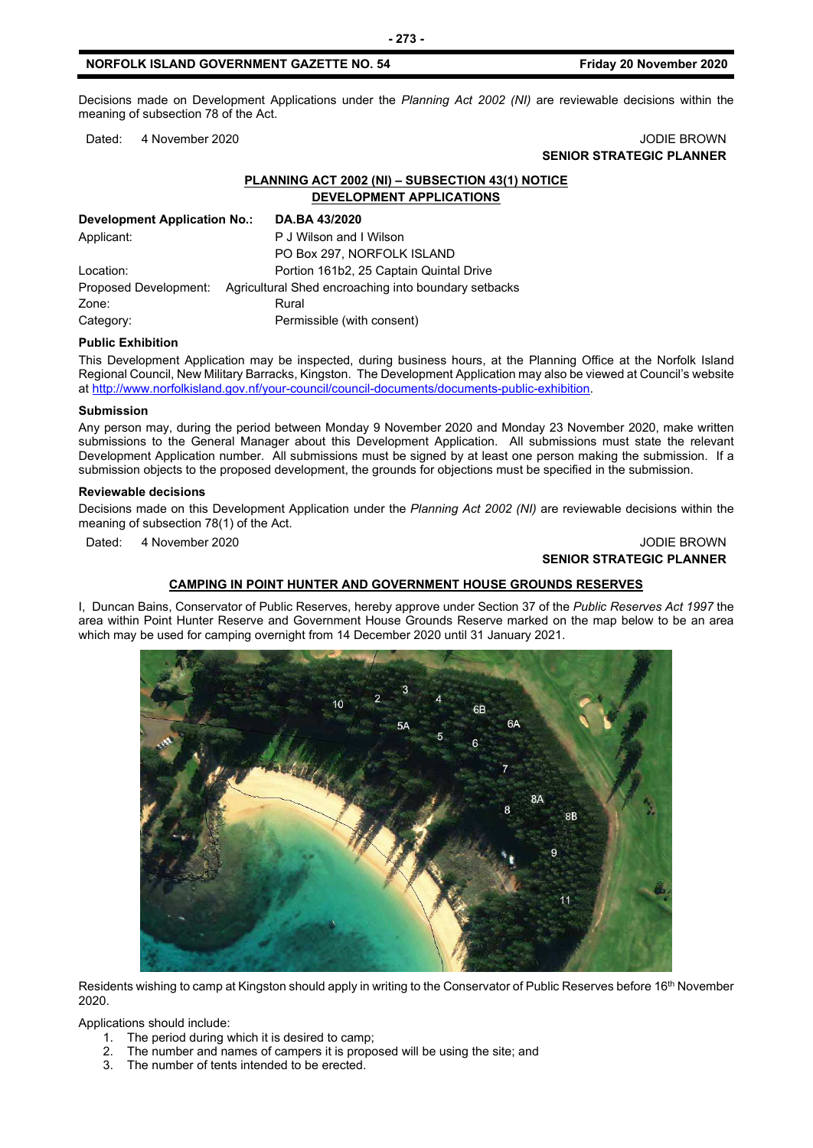Decisions made on Development Applications under the *Planning Act 2002 (NI)* are reviewable decisions within the meaning of subsection 78 of the Act.

#### Dated: 4 November 2020 JODIE BROWN

### **SENIOR STRATEGIC PLANNER**

#### **PLANNING ACT 2002 (NI) – SUBSECTION 43(1) NOTICE DEVELOPMENT APPLICATIONS**

| Development Application No.: | DA.BA 43/2020                                        |
|------------------------------|------------------------------------------------------|
| Applicant:                   | P J Wilson and I Wilson                              |
|                              | PO Box 297, NORFOLK ISLAND                           |
| Location:                    | Portion 161b2, 25 Captain Quintal Drive              |
| Proposed Development:        | Agricultural Shed encroaching into boundary setbacks |
| Zone:                        | Rural                                                |
| Category:                    | Permissible (with consent)                           |

#### **Public Exhibition**

This Development Application may be inspected, during business hours, at the Planning Office at the Norfolk Island Regional Council, New Military Barracks, Kingston. The Development Application may also be viewed at Council's website a[t http://www.norfolkisland.gov.nf/your-council/council-documents/documents-public-exhibition.](http://www.norfolkisland.gov.nf/your-council/council-documents/documents-public-exhibition)

#### **Submission**

Any person may, during the period between Monday 9 November 2020 and Monday 23 November 2020, make written submissions to the General Manager about this Development Application. All submissions must state the relevant Development Application number. All submissions must be signed by at least one person making the submission. If a submission objects to the proposed development, the grounds for objections must be specified in the submission.

#### **Reviewable decisions**

Decisions made on this Development Application under the *Planning Act 2002 (NI)* are reviewable decisions within the meaning of subsection 78(1) of the Act.

Dated: 4 November 2020 **JODIE BROWN** 

### **SENIOR STRATEGIC PLANNER**

#### **CAMPING IN POINT HUNTER AND GOVERNMENT HOUSE GROUNDS RESERVES**

I, Duncan Bains, Conservator of Public Reserves, hereby approve under Section 37 of the *Public Reserves Act 1997* the area within Point Hunter Reserve and Government House Grounds Reserve marked on the map below to be an area which may be used for camping overnight from 14 December 2020 until 31 January 2021.



Residents wishing to camp at Kingston should apply in writing to the Conservator of Public Reserves before 16<sup>th</sup> November 2020.

Applications should include:

- 1. The period during which it is desired to camp;
- 2. The number and names of campers it is proposed will be using the site; and
- The number of tents intended to be erected.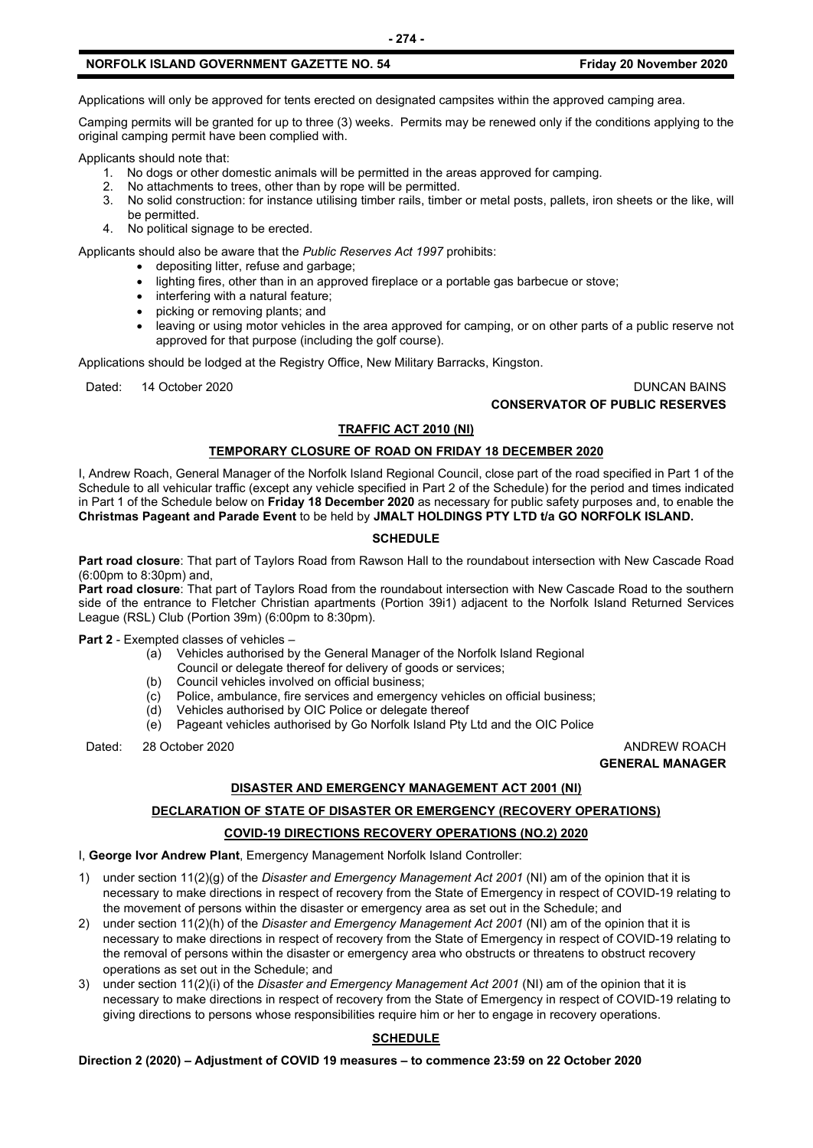Applications will only be approved for tents erected on designated campsites within the approved camping area.

Camping permits will be granted for up to three (3) weeks. Permits may be renewed only if the conditions applying to the original camping permit have been complied with.

Applicants should note that:

- 1. No dogs or other domestic animals will be permitted in the areas approved for camping.
- 2. No attachments to trees, other than by rope will be permitted.
- 3. No solid construction: for instance utilising timber rails, timber or metal posts, pallets, iron sheets or the like, will be permitted.
- 4. No political signage to be erected.

Applicants should also be aware that the *Public Reserves Act 1997* prohibits:

- depositing litter, refuse and garbage;
- lighting fires, other than in an approved fireplace or a portable gas barbecue or stove;
- interfering with a natural feature;
- picking or removing plants; and
- leaving or using motor vehicles in the area approved for camping, or on other parts of a public reserve not approved for that purpose (including the golf course).

Applications should be lodged at the Registry Office, New Military Barracks, Kingston.

Dated: 14 October 2020 **DUNCAN BAINS CONSERVATOR OF PUBLIC RESERVES**

#### **TRAFFIC ACT 2010 (NI)**

#### **TEMPORARY CLOSURE OF ROAD ON FRIDAY 18 DECEMBER 2020**

I, Andrew Roach, General Manager of the Norfolk Island Regional Council, close part of the road specified in Part 1 of the Schedule to all vehicular traffic (except any vehicle specified in Part 2 of the Schedule) for the period and times indicated in Part 1 of the Schedule below on **Friday 18 December 2020** as necessary for public safety purposes and, to enable the **Christmas Pageant and Parade Event** to be held by **JMALT HOLDINGS PTY LTD t/a GO NORFOLK ISLAND.**

#### **SCHEDULE**

**Part road closure**: That part of Taylors Road from Rawson Hall to the roundabout intersection with New Cascade Road (6:00pm to 8:30pm) and,

**Part road closure**: That part of Taylors Road from the roundabout intersection with New Cascade Road to the southern side of the entrance to Fletcher Christian apartments (Portion 39i1) adjacent to the Norfolk Island Returned Services League (RSL) Club (Portion 39m) (6:00pm to 8:30pm).

**Part 2** - Exempted classes of vehicles –

- (a) Vehicles authorised by the General Manager of the Norfolk Island Regional
- Council or delegate thereof for delivery of goods or services;<br>(b) Council vehicles involved on official business: Council vehicles involved on official business;
- (c) Police, ambulance, fire services and emergency vehicles on official business;
- (d) Vehicles authorised by OIC Police or delegate thereof
- (e) Pageant vehicles authorised by Go Norfolk Island Pty Ltd and the OIC Police

Dated: 28 October 2020 ANDREW ROACH

**GENERAL MANAGER**

#### **DISASTER AND EMERGENCY MANAGEMENT ACT 2001 (NI)**

#### **DECLARATION OF STATE OF DISASTER OR EMERGENCY (RECOVERY OPERATIONS)**

#### **COVID-19 DIRECTIONS RECOVERY OPERATIONS (NO.2) 2020**

#### I, **George Ivor Andrew Plant**, Emergency Management Norfolk Island Controller:

- 1) under section 11(2)(g) of the *Disaster and Emergency Management Act 2001* (NI) am of the opinion that it is necessary to make directions in respect of recovery from the State of Emergency in respect of COVID-19 relating to the movement of persons within the disaster or emergency area as set out in the Schedule; and
- 2) under section 11(2)(h) of the *Disaster and Emergency Management Act 2001* (NI) am of the opinion that it is necessary to make directions in respect of recovery from the State of Emergency in respect of COVID-19 relating to the removal of persons within the disaster or emergency area who obstructs or threatens to obstruct recovery operations as set out in the Schedule; and
- 3) under section 11(2)(i) of the *Disaster and Emergency Management Act 2001* (NI) am of the opinion that it is necessary to make directions in respect of recovery from the State of Emergency in respect of COVID-19 relating to giving directions to persons whose responsibilities require him or her to engage in recovery operations.

#### **SCHEDULE**

**Direction 2 (2020) – Adjustment of COVID 19 measures – to commence 23:59 on 22 October 2020**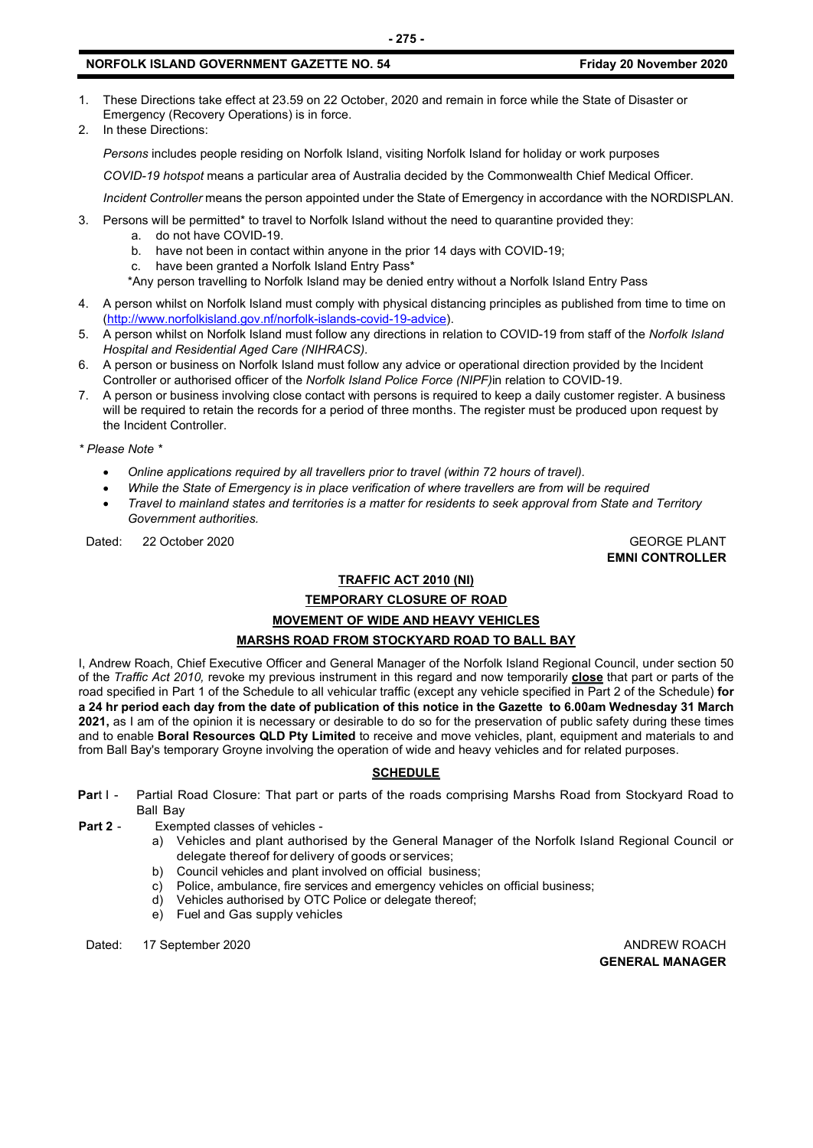- 1. These Directions take effect at 23.59 on 22 October, 2020 and remain in force while the State of Disaster or Emergency (Recovery Operations) is in force.
- 2. In these Directions:

*Persons* includes people residing on Norfolk Island, visiting Norfolk Island for holiday or work purposes

*COVID-19 hotspot* means a particular area of Australia decided by the Commonwealth Chief Medical Officer.

*Incident Controller* means the person appointed under the State of Emergency in accordance with the NORDISPLAN.

- 3. Persons will be permitted\* to travel to Norfolk Island without the need to quarantine provided they:
	- a. do not have COVID-19.
	- b. have not been in contact within anyone in the prior 14 days with COVID-19;
	- c. have been granted a Norfolk Island Entry Pass\*
	- \*Any person travelling to Norfolk Island may be denied entry without a Norfolk Island Entry Pass
- 4. A person whilst on Norfolk Island must comply with physical distancing principles as published from time to time on [\(http://www.norfolkisland.gov.nf/norfolk-islands-covid-19-advice\)](http://www.norfolkisland.gov.nf/norfolk-islands-covid-19-advice).
- 5. A person whilst on Norfolk Island must follow any directions in relation to COVID-19 from staff of the *Norfolk Island Hospital and Residential Aged Care (NIHRACS).*
- 6. A person or business on Norfolk Island must follow any advice or operational direction provided by the Incident Controller or authorised officer of the *Norfolk Island Police Force (NIPF)*in relation to COVID-19.
- 7. A person or business involving close contact with persons is required to keep a daily customer register. A business will be required to retain the records for a period of three months. The register must be produced upon request by the Incident Controller.

*\* Please Note \** 

- *Online applications required by all travellers prior to travel (within 72 hours of travel).*
- *While the State of Emergency is in place verification of where travellers are from will be required*
- *Travel to mainland states and territories is a matter for residents to seek approval from State and Territory Government authorities.*

Dated: 22 October 2020 GEORGE PLANT

**EMNI CONTROLLER**

#### **TRAFFIC ACT 2010 (NI)**

#### **TEMPORARY CLOSURE OF ROAD MOVEMENT OF WIDE AND HEAVY VEHICLES**

#### **MARSHS ROAD FROM STOCKYARD ROAD TO BALL BAY**

I, Andrew Roach, Chief Executive Officer and General Manager of the Norfolk Island Regional Council, under section 50 of the *Traffic Act 2010,* revoke my previous instrument in this regard and now temporarily **close** that part or parts of the road specified in Part 1 of the Schedule to all vehicular traffic (except any vehicle specified in Part 2 of the Schedule) **for a 24 hr period each day from the date of publication of this notice in the Gazette to 6.00am Wednesday 31 March 2021,** as I am of the opinion it is necessary or desirable to do so for the preservation of public safety during these times and to enable **Boral Resources QLD Pty Limited** to receive and move vehicles, plant, equipment and materials to and from Ball Bay's temporary Groyne involving the operation of wide and heavy vehicles and for related purposes.

#### **SCHEDULE**

- **Par**t I Partial Road Closure: That part or parts of the roads comprising Marshs Road from Stockyard Road to Ball Bay
- **Part 2** Exempted classes of vehicles
	- a) Vehicles and plant authorised by the General Manager of the Norfolk Island Regional Council or delegate thereof for delivery of goods or services;
	- b) Council vehicles and plant involved on official business;
	- c) Police, ambulance, fire services and emergency vehicles on official business;
	- d) Vehicles authorised by OTC Police or delegate thereof;
	- e) Fuel and Gas supply vehicles

Dated: 17 September 2020 **ANDREW ROACH ANDREW ROACH** 

**GENERAL MANAGER**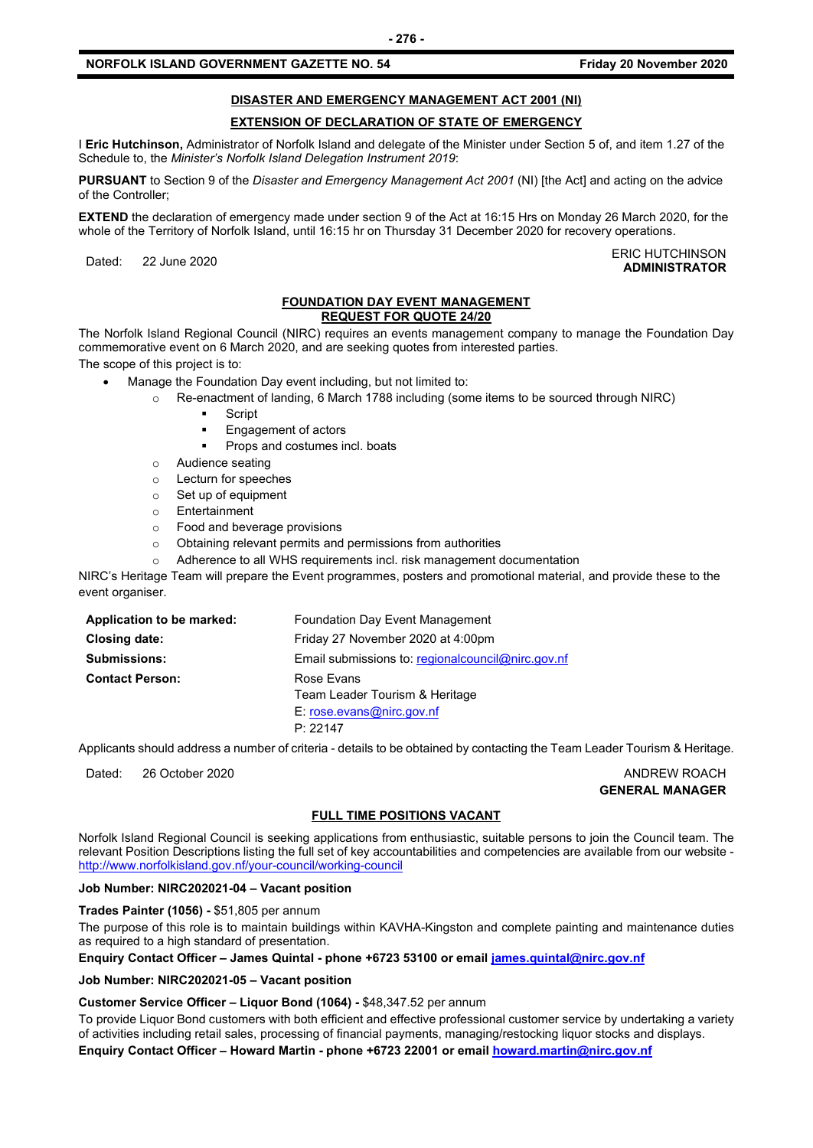#### **DISASTER AND EMERGENCY MANAGEMENT ACT 2001 (NI)**

#### **EXTENSION OF DECLARATION OF STATE OF EMERGENCY**

I **Eric Hutchinson,** Administrator of Norfolk Island and delegate of the Minister under Section 5 of, and item 1.27 of the Schedule to, the *Minister's Norfolk Island Delegation Instrument 2019*:

**PURSUANT** to Section 9 of the *Disaster and Emergency Management Act 2001* (NI) [the Act] and acting on the advice of the Controller;

**EXTEND** the declaration of emergency made under section 9 of the Act at 16:15 Hrs on Monday 26 March 2020, for the whole of the Territory of Norfolk Island, until 16:15 hr on Thursday 31 December 2020 for recovery operations.

Dated: 22 June 2020<br>Dated: 22 June 2020 **ADMINISTRATOR**

#### **FOUNDATION DAY EVENT MANAGEMENT REQUEST FOR QUOTE 24/20**

The Norfolk Island Regional Council (NIRC) requires an events management company to manage the Foundation Day commemorative event on 6 March 2020, and are seeking quotes from interested parties.

The scope of this project is to:

• Manage the Foundation Day event including, but not limited to:

- o Re-enactment of landing, 6 March 1788 including (some items to be sourced through NIRC)
	- **Script**
	- Engagement of actors
	- Props and costumes incl. boats
- o Audience seating
- o Lecturn for speeches
- o Set up of equipment
- o Entertainment
- Food and beverage provisions
- o Obtaining relevant permits and permissions from authorities
- o Adherence to all WHS requirements incl. risk management documentation

NIRC's Heritage Team will prepare the Event programmes, posters and promotional material, and provide these to the event organiser.

| Application to be marked: | Foundation Day Event Management                   |
|---------------------------|---------------------------------------------------|
| <b>Closing date:</b>      | Friday 27 November 2020 at 4:00pm                 |
| <b>Submissions:</b>       | Email submissions to: regionalcouncil@nirc.gov.nf |
| <b>Contact Person:</b>    | Rose Evans                                        |
|                           | Team Leader Tourism & Heritage                    |
|                           | E: rose.evans@nirc.gov.nf                         |
|                           | P: 22147                                          |

Applicants should address a number of criteria - details to be obtained by contacting the Team Leader Tourism & Heritage.

Dated: 26 October 2020 ANDREW ROACH

**GENERAL MANAGER**

#### **FULL TIME POSITIONS VACANT**

Norfolk Island Regional Council is seeking applications from enthusiastic, suitable persons to join the Council team. The relevant Position Descriptions listing the full set of key accountabilities and competencies are available from our website <http://www.norfolkisland.gov.nf/your-council/working-council>

#### **Job Number: NIRC202021-04 – Vacant position**

**Trades Painter (1056) -** \$51,805 per annum

The purpose of this role is to maintain buildings within KAVHA-Kingston and complete painting and maintenance duties as required to a high standard of presentation.

**Enquiry Contact Officer – James Quintal - phone +6723 53100 or email [james.quintal@nirc.gov.nf](mailto:james.quintal@nirc.gov.nf)**

#### **Job Number: NIRC202021-05 – Vacant position**

**Customer Service Officer – Liquor Bond (1064) -** \$48,347.52 per annum

To provide Liquor Bond customers with both efficient and effective professional customer service by undertaking a variety of activities including retail sales, processing of financial payments, managing/restocking liquor stocks and displays.

**Enquiry Contact Officer – Howard Martin - phone +6723 22001 or email [howard.martin@nirc.gov.nf](mailto:howard.martin@nirc.gov.nf)**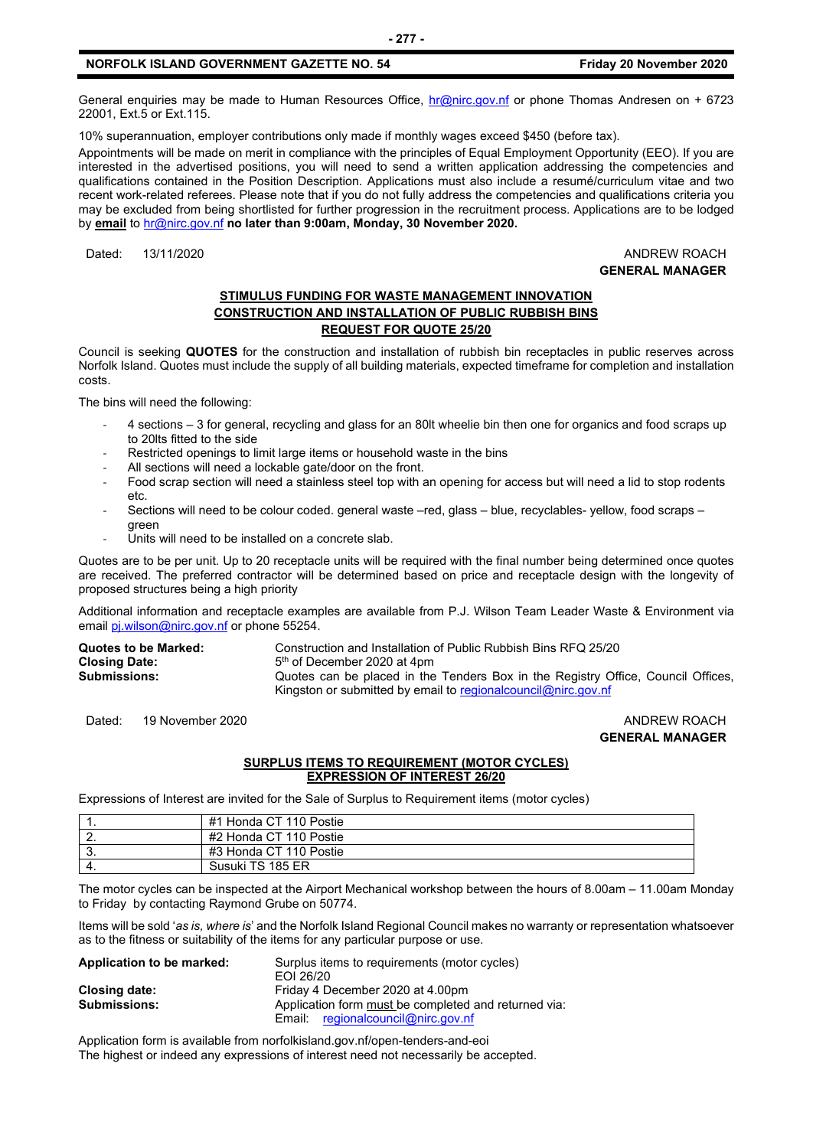General enquiries may be made to Human Resources Office, [hr@nirc.gov.nf](mailto:hr@nirc.gov.nf) or phone Thomas Andresen on + 6723 22001, Ext.5 or Ext.115.

10% superannuation, employer contributions only made if monthly wages exceed \$450 (before tax).

Appointments will be made on merit in compliance with the principles of Equal Employment Opportunity (EEO). If you are interested in the advertised positions, you will need to send a written application addressing the competencies and qualifications contained in the Position Description. Applications must also include a resumé/curriculum vitae and two recent work-related referees. Please note that if you do not fully address the competencies and qualifications criteria you may be excluded from being shortlisted for further progression in the recruitment process. Applications are to be lodged by **email** to [hr@nirc.gov.nf](mailto:hr@nirc.gov.nf) **no later than 9:00am, Monday, 30 November 2020.** 

#### Dated: 13/11/2020 ANDREW ROACH **GENERAL MANAGER**

#### **STIMULUS FUNDING FOR WASTE MANAGEMENT INNOVATION CONSTRUCTION AND INSTALLATION OF PUBLIC RUBBISH BINS REQUEST FOR QUOTE 25/20**

Council is seeking **QUOTES** for the construction and installation of rubbish bin receptacles in public reserves across Norfolk Island. Quotes must include the supply of all building materials, expected timeframe for completion and installation costs.

The bins will need the following:

- 4 sections 3 for general, recycling and glass for an 80lt wheelie bin then one for organics and food scraps up to 20lts fitted to the side
- Restricted openings to limit large items or household waste in the bins
- All sections will need a lockable gate/door on the front.
- Food scrap section will need a stainless steel top with an opening for access but will need a lid to stop rodents etc.
- Sections will need to be colour coded. general waste –red, glass blue, recyclables- yellow, food scraps green
- Units will need to be installed on a concrete slab.

Quotes are to be per unit. Up to 20 receptacle units will be required with the final number being determined once quotes are received. The preferred contractor will be determined based on price and receptacle design with the longevity of proposed structures being a high priority

Additional information and receptacle examples are available from P.J. Wilson Team Leader Waste & Environment via emai[l pj.wilson@nirc.gov.nf](mailto:pj.wilson@nirc.gov.nf) or phone 55254.

| Quotes to be Marked: | Construction and Installation of Public Rubbish Bins RFQ 25/20                   |
|----------------------|----------------------------------------------------------------------------------|
| Closing Date:        | 5 <sup>th</sup> of December 2020 at 4pm                                          |
| Submissions:         | Quotes can be placed in the Tenders Box in the Registry Office, Council Offices, |
|                      | Kingston or submitted by email to regional council $@$ nirc.gov.nf               |

Dated: 19 November 2020 ANDREW ROACH

### **GENERAL MANAGER**

#### **SURPLUS ITEMS TO REQUIREMENT (MOTOR CYCLES) EXPRESSION OF INTEREST 26/20**

Expressions of Interest are invited for the Sale of Surplus to Requirement items (motor cycles)

|          | #1 Honda CT 110 Postie |
|----------|------------------------|
| <u>.</u> | #2 Honda CT 110 Postie |
| J.       | #3 Honda CT 110 Postie |
|          | Susuki TS 185 ER       |

The motor cycles can be inspected at the Airport Mechanical workshop between the hours of 8.00am – 11.00am Monday to Friday by contacting Raymond Grube on 50774.

Items will be sold '*as is, where is*' and the Norfolk Island Regional Council makes no warranty or representation whatsoever as to the fitness or suitability of the items for any particular purpose or use.

| Application to be marked: | Surplus items to requirements (motor cycles)         |  |
|---------------------------|------------------------------------------------------|--|
|                           | EOI 26/20                                            |  |
| Closing date:             | Friday 4 December 2020 at 4.00pm                     |  |
| <b>Submissions:</b>       | Application form must be completed and returned via: |  |
|                           | Email: regionalcouncil@nirc.gov.nf                   |  |

Application form is available from norfolkisland.gov.nf/open-tenders-and-eoi The highest or indeed any expressions of interest need not necessarily be accepted.